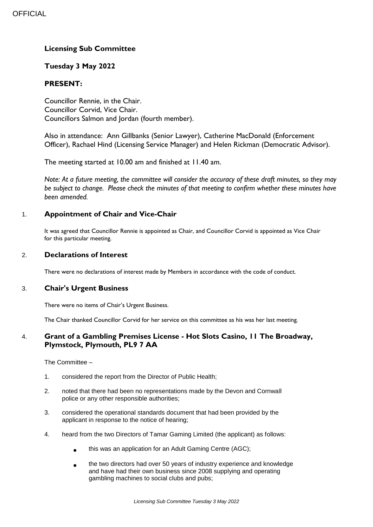# **Licensing Sub Committee**

### **Tuesday 3 May 2022**

### **PRESENT:**

Councillor Rennie, in the Chair. Councillor Corvid, Vice Chair. Councillors Salmon and Jordan (fourth member).

Also in attendance: Ann Gillbanks (Senior Lawyer), Catherine MacDonald (Enforcement Officer), Rachael Hind (Licensing Service Manager) and Helen Rickman (Democratic Advisor).

The meeting started at 10.00 am and finished at 11.40 am.

*Note: At a future meeting, the committee will consider the accuracy of these draft minutes, so they may be subject to change. Please check the minutes of that meeting to confirm whether these minutes have been amended.*

### 1. **Appointment of Chair and Vice-Chair**

It was agreed that Councillor Rennie is appointed as Chair, and Councillor Corvid is appointed as Vice Chair for this particular meeting.

#### 2. **Declarations of Interest**

There were no declarations of interest made by Members in accordance with the code of conduct.

### 3. **Chair's Urgent Business**

There were no items of Chair's Urgent Business.

The Chair thanked Councillor Corvid for her service on this committee as his was her last meeting.

## 4. **Grant of a Gambling Premises License - Hot Slots Casino, 11 The Broadway, Plymstock, Plymouth, PL9 7 AA**

The Committee –

- 1. considered the report from the Director of Public Health;
- 2. noted that there had been no representations made by the Devon and Cornwall police or any other responsible authorities;
- 3. considered the operational standards document that had been provided by the applicant in response to the notice of hearing;
- 4. heard from the two Directors of Tamar Gaming Limited (the applicant) as follows:
	- $\bullet$ this was an application for an Adult Gaming Centre (AGC);
	- the two directors had over 50 years of industry experience and knowledge and have had their own business since 2008 supplying and operating gambling machines to social clubs and pubs;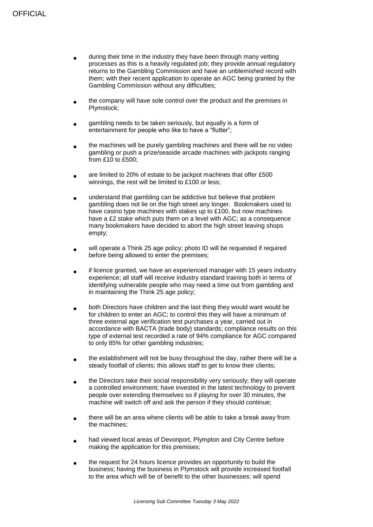- during their time in the industry they have been through many vetting processes as this is a heavily regulated job; they provide annual regulatory returns to the Gambling Commission and have an unblemished record with them; with their recent application to operate an AGC being granted by the Gambling Commission without any difficulties;
- the company will have sole control over the product and the premises in Plymstock;
- gambling needs to be taken seriously, but equally is a form of entertainment for people who like to have a "flutter";
- $\bullet$ the machines will be purely gambling machines and there will be no video gambling or push a prize/seaside arcade machines with jackpots ranging from £10 to £500;
- are limited to 20% of estate to be jackpot machines that offer £500 winnings, the rest will be limited to £100 or less:
- understand that gambling can be addictive but believe that problem gambling does not lie on the high street any longer. Bookmakers used to have casino type machines with stakes up to £100, but now machines have a £2 stake which puts them on a level with AGC; as a consequence many bookmakers have decided to abort the high street leaving shops empty;
- will operate a Think 25 age policy; photo ID will be requested if required before being allowed to enter the premises;
- if licence granted, we have an experienced manager with 15 years industry experience; all staff will receive industry standard training both in terms of identifying vulnerable people who may need a time out from gambling and in maintaining the Think 25 age policy;
- both Directors have children and the last thing they would want would be for children to enter an AGC; to control this they will have a minimum of three external age verification test purchases a year, carried out in accordance with BACTA (trade body) standards; compliance results on this type of external test recorded a rate of 94% compliance for AGC compared to only 85% for other gambling industries;
- $\bullet$ the establishment will not be busy throughout the day, rather there will be a steady footfall of clients; this allows staff to get to know their clients;
- $\bullet$ the Directors take their social responsibility very seriously; they will operate a controlled environment; have invested in the latest technology to prevent people over extending themselves so if playing for over 30 minutes, the machine will switch off and ask the person if they should continue;
- there will be an area where clients will be able to take a break away from the machines;
- had viewed local areas of Devonport, Plympton and City Centre before making the application for this premises;
- the request for 24 hours licence provides an opportunity to build the business; having the business in Plymstock will provide increased footfall to the area which will be of benefit to the other businesses; will spend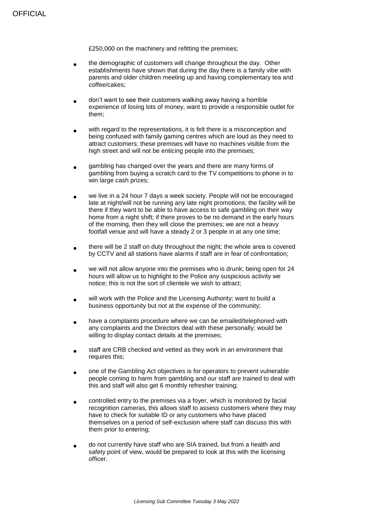£250,000 on the machinery and refitting the premises;

- $\bullet$ the demographic of customers will change throughout the day. Other establishments have shown that during the day there is a family vibe with parents and older children meeting up and having complementary tea and coffee/cakes;
- don't want to see their customers walking away having a horrible experience of losing lots of money, want to provide a responsible outlet for them;
- with regard to the representations, it is felt there is a misconception and being confused with family gaming centres which are loud as they need to attract customers; these premises will have no machines visible from the high street and will not be enticing people into the premises:
- gambling has changed over the years and there are many forms of gambling from buying a scratch card to the TV competitions to phone in to win large cash prizes;
- we live in a 24 hour 7 days a week society. People will not be encouraged late at night/will not be running any late night promotions; the facility will be there if they want to be able to have access to safe gambling on their way home from a night shift; if there proves to be no demand in the early hours of the morning, then they will close the premises; we are not a heavy footfall venue and will have a steady 2 or 3 people in at any one time;
- $\bullet$ there will be 2 staff on duty throughout the night; the whole area is covered by CCTV and all stations have alarms if staff are in fear of confrontation;
- we will not allow anyone into the premises who is drunk; being open for 24 hours will allow us to highlight to the Police any suspicious activity we notice; this is not the sort of clientele we wish to attract;
- will work with the Police and the Licensing Authority; want to build a business opportunity but not at the expense of the community;
- have a complaints procedure where we can be emailed/telephoned with any complaints and the Directors deal with these personally; would be willing to display contact details at the premises;
- staff are CRB checked and vetted as they work in an environment that requires this;
- one of the Gambling Act objectives is for operators to prevent vulnerable people coming to harm from gambling and our staff are trained to deal with this and staff will also get 6 monthly refresher training;
- controlled entry to the premises via a foyer, which is monitored by facial recognition cameras, this allows staff to assess customers where they may have to check for suitable ID or any customers who have placed themselves on a period of self-exclusion where staff can discuss this with them prior to entering;
- do not currently have staff who are SIA trained, but from a health and safety point of view, would be prepared to look at this with the licensing officer.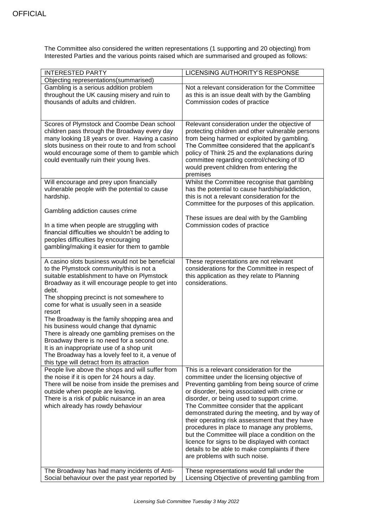The Committee also considered the written representations (1 supporting and 20 objecting) from Interested Parties and the various points raised which are summarised and grouped as follows:

| <b>INTERESTED PARTY</b>                                                                                                                                                                                                                                                                                                                                                                                                                                                                                                                                                                                                                               | LICENSING AUTHORITY'S RESPONSE                                                                                                                                                                                                                                                                                                                                                                                                                                                                                                                                                                                               |
|-------------------------------------------------------------------------------------------------------------------------------------------------------------------------------------------------------------------------------------------------------------------------------------------------------------------------------------------------------------------------------------------------------------------------------------------------------------------------------------------------------------------------------------------------------------------------------------------------------------------------------------------------------|------------------------------------------------------------------------------------------------------------------------------------------------------------------------------------------------------------------------------------------------------------------------------------------------------------------------------------------------------------------------------------------------------------------------------------------------------------------------------------------------------------------------------------------------------------------------------------------------------------------------------|
| Objecting representations(summarised)                                                                                                                                                                                                                                                                                                                                                                                                                                                                                                                                                                                                                 |                                                                                                                                                                                                                                                                                                                                                                                                                                                                                                                                                                                                                              |
| Gambling is a serious addition problem<br>throughout the UK causing misery and ruin to<br>thousands of adults and children.                                                                                                                                                                                                                                                                                                                                                                                                                                                                                                                           | Not a relevant consideration for the Committee<br>as this is an issue dealt with by the Gambling<br>Commission codes of practice                                                                                                                                                                                                                                                                                                                                                                                                                                                                                             |
| Scores of Plymstock and Coombe Dean school<br>children pass through the Broadway every day<br>many looking 18 years or over. Having a casino                                                                                                                                                                                                                                                                                                                                                                                                                                                                                                          | Relevant consideration under the objective of<br>protecting children and other vulnerable persons<br>from being harmed or exploited by gambling.                                                                                                                                                                                                                                                                                                                                                                                                                                                                             |
| slots business on their route to and from school<br>would encourage some of them to gamble which<br>could eventually ruin their young lives.                                                                                                                                                                                                                                                                                                                                                                                                                                                                                                          | The Committee considered that the applicant's<br>policy of Think 25 and the explanations during<br>committee regarding control/checking of ID<br>would prevent children from entering the<br>premises                                                                                                                                                                                                                                                                                                                                                                                                                        |
| Will encourage and prey upon financially<br>vulnerable people with the potential to cause<br>hardship.                                                                                                                                                                                                                                                                                                                                                                                                                                                                                                                                                | Whilst the Committee recognise that gambling<br>has the potential to cause hardship/addiction,<br>this is not a relevant consideration for the<br>Committee for the purposes of this application.                                                                                                                                                                                                                                                                                                                                                                                                                            |
| Gambling addiction causes crime<br>In a time when people are struggling with<br>financial difficulties we shouldn't be adding to<br>peoples difficulties by encouraging<br>gambling/making it easier for them to gamble                                                                                                                                                                                                                                                                                                                                                                                                                               | These issues are deal with by the Gambling<br>Commission codes of practice                                                                                                                                                                                                                                                                                                                                                                                                                                                                                                                                                   |
| A casino slots business would not be beneficial<br>to the Plymstock community/this is not a<br>suitable establishment to have on Plymstock<br>Broadway as it will encourage people to get into<br>debt.<br>The shopping precinct is not somewhere to<br>come for what is usually seen in a seaside<br>resort<br>The Broadway is the family shopping area and<br>his business would change that dynamic<br>There is already one gambling premises on the<br>Broadway there is no need for a second one.<br>It is an inappropriate use of a shop unit<br>The Broadway has a lovely feel to it, a venue of<br>this type will detract from its attraction | These representations are not relevant<br>considerations for the Committee in respect of<br>this application as they relate to Planning<br>considerations.                                                                                                                                                                                                                                                                                                                                                                                                                                                                   |
| People live above the shops and will suffer from<br>the noise if it is open for 24 hours a day.<br>There will be noise from inside the premises and<br>outside when people are leaving.<br>There is a risk of public nuisance in an area<br>which already has rowdy behaviour                                                                                                                                                                                                                                                                                                                                                                         | This is a relevant consideration for the<br>committee under the licensing objective of<br>Preventing gambling from being source of crime<br>or disorder, being associated with crime or<br>disorder, or being used to support crime.<br>The Committee consider that the applicant<br>demonstrated during the meeting, and by way of<br>their operating risk assessment that they have<br>procedures in place to manage any problems,<br>but the Committee will place a condition on the<br>licence for signs to be displayed with contact<br>details to be able to make complaints if there<br>are problems with such noise. |
| The Broadway has had many incidents of Anti-<br>Social behaviour over the past year reported by                                                                                                                                                                                                                                                                                                                                                                                                                                                                                                                                                       | These representations would fall under the<br>Licensing Objective of preventing gambling from                                                                                                                                                                                                                                                                                                                                                                                                                                                                                                                                |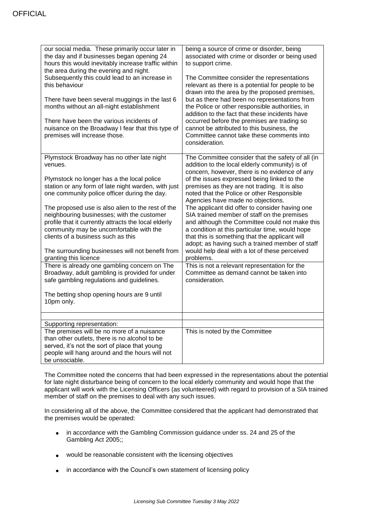| our social media. These primarily occur later in<br>the day and if businesses began opening 24<br>hours this would inevitably increase traffic within<br>the area during the evening and night.<br>Subsequently this could lead to an increase in<br>this behaviour | being a source of crime or disorder, being<br>associated with crime or disorder or being used<br>to support crime.<br>The Committee consider the representations<br>relevant as there is a potential for people to be                                                                                   |
|---------------------------------------------------------------------------------------------------------------------------------------------------------------------------------------------------------------------------------------------------------------------|---------------------------------------------------------------------------------------------------------------------------------------------------------------------------------------------------------------------------------------------------------------------------------------------------------|
| There have been several muggings in the last 6<br>months without an all-night establishment                                                                                                                                                                         | drawn into the area by the proposed premises,<br>but as there had been no representations from<br>the Police or other responsible authorities, in<br>addition to the fact that these incidents have                                                                                                     |
| There have been the various incidents of<br>nuisance on the Broadway I fear that this type of<br>premises will increase those.                                                                                                                                      | occurred before the premises are trading so<br>cannot be attributed to this business, the<br>Committee cannot take these comments into<br>consideration.                                                                                                                                                |
| Plymstock Broadway has no other late night<br>venues.                                                                                                                                                                                                               | The Committee consider that the safety of all (in<br>addition to the local elderly community) is of<br>concern, however, there is no evidence of any                                                                                                                                                    |
| Plymstock no longer has a the local police<br>station or any form of late night warden, with just<br>one community police officer during the day.                                                                                                                   | of the issues expressed being linked to the<br>premises as they are not trading. It is also<br>noted that the Police or other Responsible<br>Agencies have made no objections.                                                                                                                          |
| The proposed use is also alien to the rest of the<br>neighbouring businesses; with the customer<br>profile that it currently attracts the local elderly<br>community may be uncomfortable with the<br>clients of a business such as this                            | The applicant did offer to consider having one<br>SIA trained member of staff on the premises<br>and although the Committee could not make this<br>a condition at this particular time, would hope<br>that this is something that the applicant will<br>adopt; as having such a trained member of staff |
| The surrounding businesses will not benefit from<br>granting this licence                                                                                                                                                                                           | would help deal with a lot of these perceived<br>problems.                                                                                                                                                                                                                                              |
| There is already one gambling concern on The<br>Broadway, adult gambling is provided for under<br>safe gambling regulations and guidelines.                                                                                                                         | This is not a relevant representation for the<br>Committee as demand cannot be taken into<br>consideration.                                                                                                                                                                                             |
| The betting shop opening hours are 9 until<br>10pm only.                                                                                                                                                                                                            |                                                                                                                                                                                                                                                                                                         |
|                                                                                                                                                                                                                                                                     |                                                                                                                                                                                                                                                                                                         |
| Supporting representation:                                                                                                                                                                                                                                          |                                                                                                                                                                                                                                                                                                         |
| The premises will be no more of a nuisance<br>than other outlets, there is no alcohol to be<br>served, it's not the sort of place that young<br>people will hang around and the hours will not<br>be unsociable.                                                    | This is noted by the Committee                                                                                                                                                                                                                                                                          |

The Committee noted the concerns that had been expressed in the representations about the potential for late night disturbance being of concern to the local elderly community and would hope that the applicant will work with the Licensing Officers (as volunteered) with regard to provision of a SIA trained member of staff on the premises to deal with any such issues.

In considering all of the above, the Committee considered that the applicant had demonstrated that the premises would be operated:

- in accordance with the Gambling Commission guidance under ss. 24 and 25 of the Gambling Act 2005;;
- would be reasonable consistent with the licensing objectives
- in accordance with the Council's own statement of licensing policy